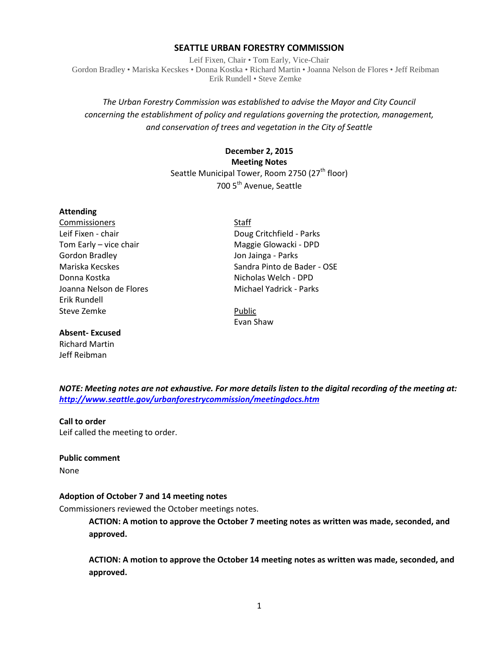#### **SEATTLE URBAN FORESTRY COMMISSION**

Leif Fixen, Chair • Tom Early, Vice-Chair Gordon Bradley • Mariska Kecskes • Donna Kostka • Richard Martin • Joanna Nelson de Flores • Jeff Reibman Erik Rundell • Steve Zemke

# *The Urban Forestry Commission was established to advise the Mayor and City Council concerning the establishment of policy and regulations governing the protection, management, and conservation of trees and vegetation in the City of Seattle*

# **December 2, 2015 Meeting Notes** Seattle Municipal Tower, Room 2750 (27<sup>th</sup> floor) 700 5<sup>th</sup> Avenue, Seattle

#### **Attending**

**Commissioners** Staff Gordon Bradley Jon Jainga - Parks Donna Kostka Nicholas Welch - DPD Erik Rundell Steve Zemke **Public** 

## **Absent- Excused**

Richard Martin Jeff Reibman

Leif Fixen - chair **Doug Critchfield - Parks** Tom Early – vice chair Maggie Glowacki - DPD Mariska Kecskes Sandra Pinto de Bader - OSE Joanna Nelson de Flores Michael Yadrick - Parks

Evan Shaw

*NOTE: Meeting notes are not exhaustive. For more details listen to the digital recording of the meeting at: <http://www.seattle.gov/urbanforestrycommission/meetingdocs.htm>*

#### **Call to order**

Leif called the meeting to order.

#### **Public comment**

None

#### **Adoption of October 7 and 14 meeting notes**

Commissioners reviewed the October meetings notes.

**ACTION: A motion to approve the October 7 meeting notes as written was made, seconded, and approved.**

**ACTION: A motion to approve the October 14 meeting notes as written was made, seconded, and approved.**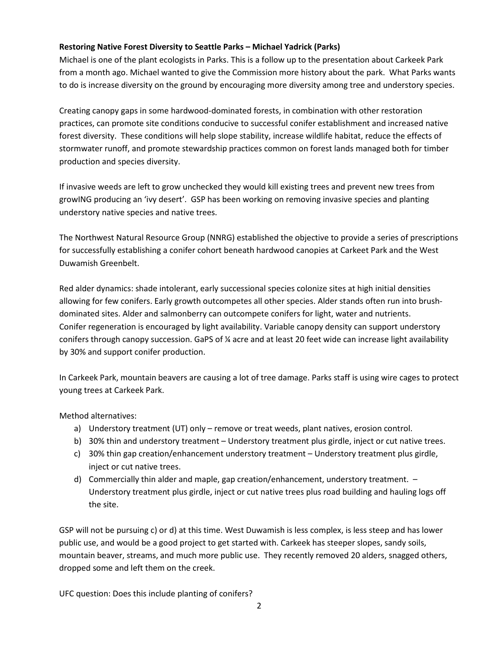# **Restoring Native Forest Diversity to Seattle Parks – Michael Yadrick (Parks)**

Michael is one of the plant ecologists in Parks. This is a follow up to the presentation about Carkeek Park from a month ago. Michael wanted to give the Commission more history about the park. What Parks wants to do is increase diversity on the ground by encouraging more diversity among tree and understory species.

Creating canopy gaps in some hardwood-dominated forests, in combination with other restoration practices, can promote site conditions conducive to successful conifer establishment and increased native forest diversity. These conditions will help slope stability, increase wildlife habitat, reduce the effects of stormwater runoff, and promote stewardship practices common on forest lands managed both for timber production and species diversity.

If invasive weeds are left to grow unchecked they would kill existing trees and prevent new trees from growING producing an 'ivy desert'. GSP has been working on removing invasive species and planting understory native species and native trees.

The Northwest Natural Resource Group (NNRG) established the objective to provide a series of prescriptions for successfully establishing a conifer cohort beneath hardwood canopies at Carkeet Park and the West Duwamish Greenbelt.

Red alder dynamics: shade intolerant, early successional species colonize sites at high initial densities allowing for few conifers. Early growth outcompetes all other species. Alder stands often run into brushdominated sites. Alder and salmonberry can outcompete conifers for light, water and nutrients. Conifer regeneration is encouraged by light availability. Variable canopy density can support understory conifers through canopy succession. GaPS of % acre and at least 20 feet wide can increase light availability by 30% and support conifer production.

In Carkeek Park, mountain beavers are causing a lot of tree damage. Parks staff is using wire cages to protect young trees at Carkeek Park.

Method alternatives:

- a) Understory treatment (UT) only remove or treat weeds, plant natives, erosion control.
- b) 30% thin and understory treatment Understory treatment plus girdle, inject or cut native trees.
- c) 30% thin gap creation/enhancement understory treatment Understory treatment plus girdle, inject or cut native trees.
- d) Commercially thin alder and maple, gap creation/enhancement, understory treatment. Understory treatment plus girdle, inject or cut native trees plus road building and hauling logs off the site.

GSP will not be pursuing c) or d) at this time. West Duwamish is less complex, is less steep and has lower public use, and would be a good project to get started with. Carkeek has steeper slopes, sandy soils, mountain beaver, streams, and much more public use. They recently removed 20 alders, snagged others, dropped some and left them on the creek.

UFC question: Does this include planting of conifers?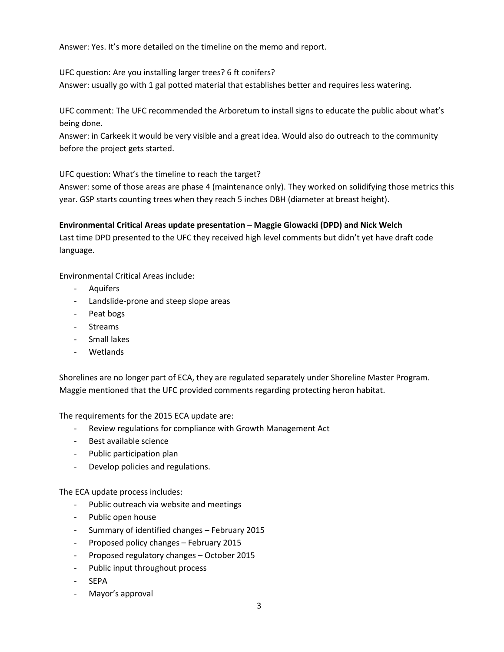Answer: Yes. It's more detailed on the timeline on the memo and report.

UFC question: Are you installing larger trees? 6 ft conifers?

Answer: usually go with 1 gal potted material that establishes better and requires less watering.

UFC comment: The UFC recommended the Arboretum to install signs to educate the public about what's being done.

Answer: in Carkeek it would be very visible and a great idea. Would also do outreach to the community before the project gets started.

UFC question: What's the timeline to reach the target?

Answer: some of those areas are phase 4 (maintenance only). They worked on solidifying those metrics this year. GSP starts counting trees when they reach 5 inches DBH (diameter at breast height).

## **Environmental Critical Areas update presentation – Maggie Glowacki (DPD) and Nick Welch**

Last time DPD presented to the UFC they received high level comments but didn't yet have draft code language.

Environmental Critical Areas include:

- Aquifers
- Landslide-prone and steep slope areas
- Peat bogs
- Streams
- Small lakes
- **Wetlands**

Shorelines are no longer part of ECA, they are regulated separately under Shoreline Master Program. Maggie mentioned that the UFC provided comments regarding protecting heron habitat.

The requirements for the 2015 ECA update are:

- Review regulations for compliance with Growth Management Act
- Best available science
- Public participation plan
- Develop policies and regulations.

The ECA update process includes:

- Public outreach via website and meetings
- Public open house
- Summary of identified changes February 2015
- Proposed policy changes February 2015
- Proposed regulatory changes October 2015
- Public input throughout process
- SEPA
- Mayor's approval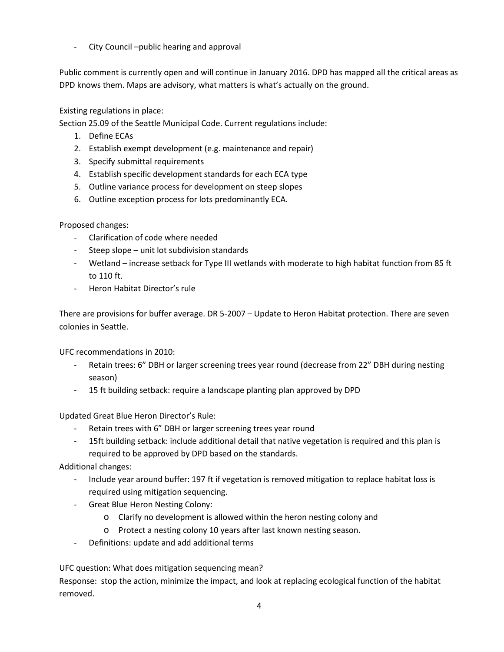- City Council –public hearing and approval

Public comment is currently open and will continue in January 2016. DPD has mapped all the critical areas as DPD knows them. Maps are advisory, what matters is what's actually on the ground.

Existing regulations in place:

Section 25.09 of the Seattle Municipal Code. Current regulations include:

- 1. Define ECAs
- 2. Establish exempt development (e.g. maintenance and repair)
- 3. Specify submittal requirements
- 4. Establish specific development standards for each ECA type
- 5. Outline variance process for development on steep slopes
- 6. Outline exception process for lots predominantly ECA.

Proposed changes:

- Clarification of code where needed
- Steep slope unit lot subdivision standards
- Wetland increase setback for Type III wetlands with moderate to high habitat function from 85 ft to 110 ft.
- Heron Habitat Director's rule

There are provisions for buffer average. DR 5-2007 – Update to Heron Habitat protection. There are seven colonies in Seattle.

UFC recommendations in 2010:

- Retain trees: 6" DBH or larger screening trees year round (decrease from 22" DBH during nesting season)
- 15 ft building setback: require a landscape planting plan approved by DPD

Updated Great Blue Heron Director's Rule:

- Retain trees with 6" DBH or larger screening trees year round
- 15ft building setback: include additional detail that native vegetation is required and this plan is required to be approved by DPD based on the standards.

Additional changes:

- Include year around buffer: 197 ft if vegetation is removed mitigation to replace habitat loss is required using mitigation sequencing.
- Great Blue Heron Nesting Colony:
	- o Clarify no development is allowed within the heron nesting colony and
	- o Protect a nesting colony 10 years after last known nesting season.
- Definitions: update and add additional terms

UFC question: What does mitigation sequencing mean?

Response: stop the action, minimize the impact, and look at replacing ecological function of the habitat removed.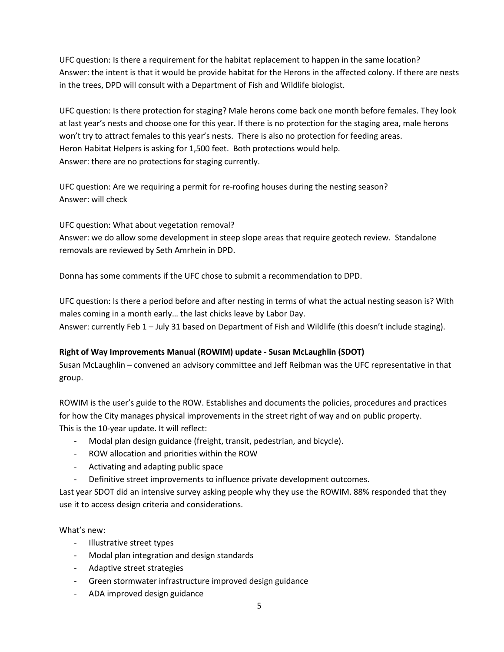UFC question: Is there a requirement for the habitat replacement to happen in the same location? Answer: the intent is that it would be provide habitat for the Herons in the affected colony. If there are nests in the trees, DPD will consult with a Department of Fish and Wildlife biologist.

UFC question: Is there protection for staging? Male herons come back one month before females. They look at last year's nests and choose one for this year. If there is no protection for the staging area, male herons won't try to attract females to this year's nests. There is also no protection for feeding areas. Heron Habitat Helpers is asking for 1,500 feet. Both protections would help. Answer: there are no protections for staging currently.

UFC question: Are we requiring a permit for re-roofing houses during the nesting season? Answer: will check

UFC question: What about vegetation removal? Answer: we do allow some development in steep slope areas that require geotech review. Standalone removals are reviewed by Seth Amrhein in DPD.

Donna has some comments if the UFC chose to submit a recommendation to DPD.

UFC question: Is there a period before and after nesting in terms of what the actual nesting season is? With males coming in a month early… the last chicks leave by Labor Day. Answer: currently Feb 1 – July 31 based on Department of Fish and Wildlife (this doesn't include staging).

# **Right of Way Improvements Manual (ROWIM) update - Susan McLaughlin (SDOT)**

Susan McLaughlin – convened an advisory committee and Jeff Reibman was the UFC representative in that group.

ROWIM is the user's guide to the ROW. Establishes and documents the policies, procedures and practices for how the City manages physical improvements in the street right of way and on public property. This is the 10-year update. It will reflect:

- Modal plan design guidance (freight, transit, pedestrian, and bicycle).
- ROW allocation and priorities within the ROW
- Activating and adapting public space
- Definitive street improvements to influence private development outcomes.

Last year SDOT did an intensive survey asking people why they use the ROWIM. 88% responded that they use it to access design criteria and considerations.

What's new:

- Illustrative street types
- Modal plan integration and design standards
- Adaptive street strategies
- Green stormwater infrastructure improved design guidance
- ADA improved design guidance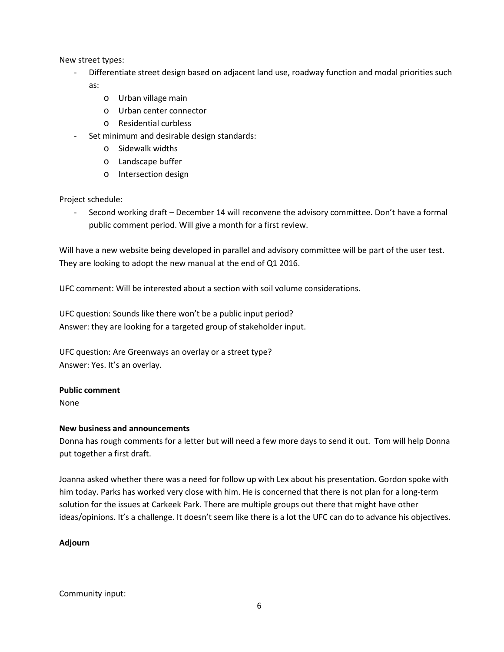New street types:

- Differentiate street design based on adjacent land use, roadway function and modal priorities such as:
	- o Urban village main
	- o Urban center connector
	- o Residential curbless
- Set minimum and desirable design standards:
	- o Sidewalk widths
	- o Landscape buffer
	- o Intersection design

Project schedule:

- Second working draft – December 14 will reconvene the advisory committee. Don't have a formal public comment period. Will give a month for a first review.

Will have a new website being developed in parallel and advisory committee will be part of the user test. They are looking to adopt the new manual at the end of Q1 2016.

UFC comment: Will be interested about a section with soil volume considerations.

UFC question: Sounds like there won't be a public input period? Answer: they are looking for a targeted group of stakeholder input.

UFC question: Are Greenways an overlay or a street type? Answer: Yes. It's an overlay.

## **Public comment**

None

## **New business and announcements**

Donna has rough comments for a letter but will need a few more days to send it out. Tom will help Donna put together a first draft.

Joanna asked whether there was a need for follow up with Lex about his presentation. Gordon spoke with him today. Parks has worked very close with him. He is concerned that there is not plan for a long-term solution for the issues at Carkeek Park. There are multiple groups out there that might have other ideas/opinions. It's a challenge. It doesn't seem like there is a lot the UFC can do to advance his objectives.

## **Adjourn**

Community input: